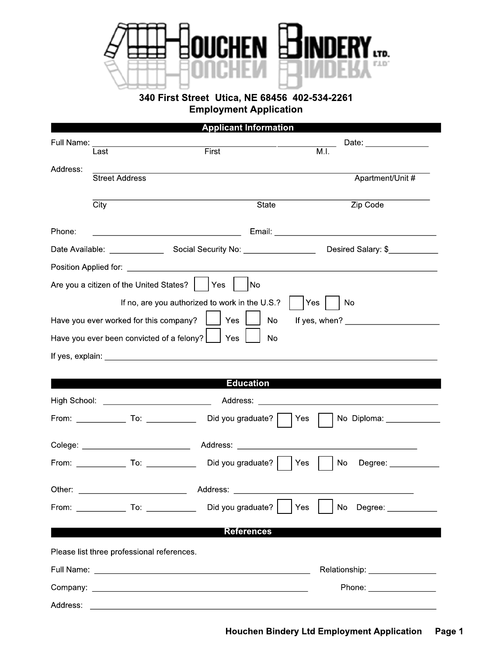

**340 First Street Utica, NE 68456 402-534-2261 Employment Application**

| <b>Applicant Information</b> |
|------------------------------|
|------------------------------|

|          |                                                                                                                                                                                                                                |                                                |                   | Date: _________________                                                                                                                                                                                                        |
|----------|--------------------------------------------------------------------------------------------------------------------------------------------------------------------------------------------------------------------------------|------------------------------------------------|-------------------|--------------------------------------------------------------------------------------------------------------------------------------------------------------------------------------------------------------------------------|
|          | Last                                                                                                                                                                                                                           | First                                          |                   | $\overline{M.I.}$                                                                                                                                                                                                              |
| Address: | <b>Street Address</b>                                                                                                                                                                                                          |                                                |                   | Apartment/Unit #                                                                                                                                                                                                               |
|          |                                                                                                                                                                                                                                |                                                |                   |                                                                                                                                                                                                                                |
|          | $\overline{City}$                                                                                                                                                                                                              |                                                | State             | Zip Code                                                                                                                                                                                                                       |
| Phone:   |                                                                                                                                                                                                                                |                                                |                   |                                                                                                                                                                                                                                |
|          |                                                                                                                                                                                                                                |                                                |                   | Desired Salary: \$                                                                                                                                                                                                             |
|          |                                                                                                                                                                                                                                |                                                |                   |                                                                                                                                                                                                                                |
|          | Are you a citizen of the United States?     Yes                                                                                                                                                                                |                                                | No                |                                                                                                                                                                                                                                |
|          |                                                                                                                                                                                                                                | If no, are you authorized to work in the U.S.? |                   | No<br>Yes:                                                                                                                                                                                                                     |
|          | Have you ever worked for this company?                                                                                                                                                                                         | Yes                                            | No                | If yes, when? $\qquad \qquad$                                                                                                                                                                                                  |
|          | Have you ever been convicted of a felony?                                                                                                                                                                                      | Yes                                            | No                |                                                                                                                                                                                                                                |
|          |                                                                                                                                                                                                                                |                                                |                   |                                                                                                                                                                                                                                |
|          |                                                                                                                                                                                                                                |                                                |                   |                                                                                                                                                                                                                                |
|          |                                                                                                                                                                                                                                |                                                | <b>Education</b>  |                                                                                                                                                                                                                                |
|          | High School: New York School: New York School: New York School: New York School: New York School: New York School: New York School: New York School: New York School: New York School: New York School: New York School: New Y |                                                |                   | Address: Address: Address: Address: Address: Address: Address: Address: Address: Address: Address: A                                                                                                                           |
|          | From: _______________ To: ________________ Did you graduate?                                                                                                                                                                   |                                                | Yes               | No Diploma: _____________                                                                                                                                                                                                      |
|          |                                                                                                                                                                                                                                |                                                |                   |                                                                                                                                                                                                                                |
|          | From: _______________ To: _________________ Did you graduate?                                                                                                                                                                  |                                                | Yes               | <b>No</b><br>Degree: ____________                                                                                                                                                                                              |
| Other:   |                                                                                                                                                                                                                                | Address:                                       |                   |                                                                                                                                                                                                                                |
|          | From: _______________ To: ________________ Did you graduate?                                                                                                                                                                   |                                                | Yes               | <b>No</b><br>Degree: ____________                                                                                                                                                                                              |
|          |                                                                                                                                                                                                                                |                                                |                   |                                                                                                                                                                                                                                |
|          |                                                                                                                                                                                                                                |                                                | <b>References</b> |                                                                                                                                                                                                                                |
|          | Please list three professional references.                                                                                                                                                                                     |                                                |                   |                                                                                                                                                                                                                                |
|          |                                                                                                                                                                                                                                |                                                |                   | Relationship: _________________                                                                                                                                                                                                |
|          |                                                                                                                                                                                                                                |                                                |                   | Phone: the contract of the contract of the contract of the contract of the contract of the contract of the contract of the contract of the contract of the contract of the contract of the contract of the contract of the con |
| Address: |                                                                                                                                                                                                                                |                                                |                   |                                                                                                                                                                                                                                |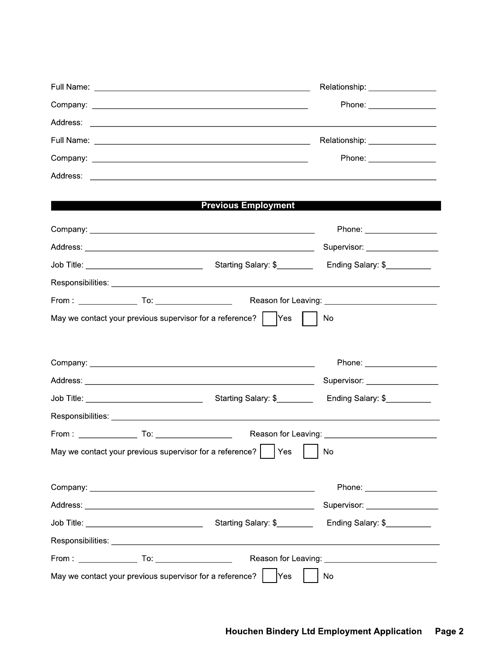|                                                                                  |  |                            |     |  | Relationship: _________________ |  |
|----------------------------------------------------------------------------------|--|----------------------------|-----|--|---------------------------------|--|
|                                                                                  |  |                            |     |  | Phone: ____________________     |  |
|                                                                                  |  |                            |     |  |                                 |  |
|                                                                                  |  |                            |     |  | Relationship: _________________ |  |
|                                                                                  |  |                            |     |  | Phone: ___________________      |  |
|                                                                                  |  |                            |     |  |                                 |  |
|                                                                                  |  |                            |     |  |                                 |  |
|                                                                                  |  | <b>Previous Employment</b> |     |  |                                 |  |
|                                                                                  |  |                            |     |  | Phone: ____________________     |  |
|                                                                                  |  |                            |     |  | Supervisor: __________________  |  |
|                                                                                  |  |                            |     |  | Ending Salary: \$               |  |
|                                                                                  |  |                            |     |  |                                 |  |
|                                                                                  |  |                            |     |  |                                 |  |
| May we contact your previous supervisor for a reference? $\vert \quad \vert$ Yes |  |                            |     |  | No                              |  |
|                                                                                  |  |                            |     |  |                                 |  |
|                                                                                  |  |                            |     |  | Phone: ___________________      |  |
|                                                                                  |  |                            |     |  | Supervisor: ___________________ |  |
|                                                                                  |  |                            |     |  | Ending Salary: \$               |  |
|                                                                                  |  |                            |     |  |                                 |  |
|                                                                                  |  |                            |     |  |                                 |  |
| May we contact your previous supervisor for a reference?                         |  |                            | Yes |  | No                              |  |
|                                                                                  |  |                            |     |  |                                 |  |
|                                                                                  |  |                            |     |  |                                 |  |
|                                                                                  |  |                            |     |  | Supervisor: ___________________ |  |
|                                                                                  |  |                            |     |  | Ending Salary: \$               |  |
|                                                                                  |  |                            |     |  |                                 |  |
|                                                                                  |  |                            |     |  |                                 |  |
|                                                                                  |  |                            |     |  |                                 |  |
| May we contact your previous supervisor for a reference?                         |  |                            | Yes |  | No.                             |  |